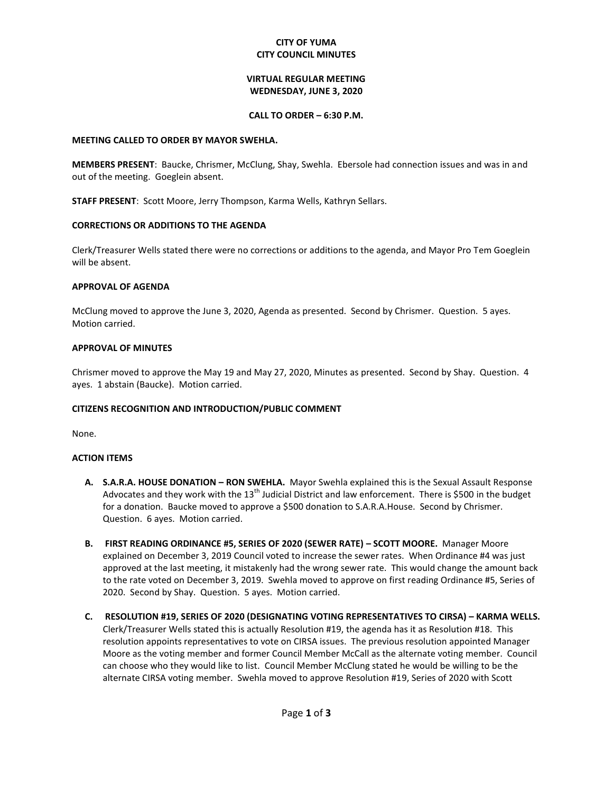## **CITY OF YUMA CITY COUNCIL MINUTES**

# **VIRTUAL REGULAR MEETING WEDNESDAY, JUNE 3, 2020**

### **CALL TO ORDER – 6:30 P.M.**

#### **MEETING CALLED TO ORDER BY MAYOR SWEHLA.**

**MEMBERS PRESENT**: Baucke, Chrismer, McClung, Shay, Swehla. Ebersole had connection issues and was in and out of the meeting. Goeglein absent.

**STAFF PRESENT**: Scott Moore, Jerry Thompson, Karma Wells, Kathryn Sellars.

## **CORRECTIONS OR ADDITIONS TO THE AGENDA**

Clerk/Treasurer Wells stated there were no corrections or additions to the agenda, and Mayor Pro Tem Goeglein will be absent.

## **APPROVAL OF AGENDA**

McClung moved to approve the June 3, 2020, Agenda as presented. Second by Chrismer. Question. 5 ayes. Motion carried.

# **APPROVAL OF MINUTES**

Chrismer moved to approve the May 19 and May 27, 2020, Minutes as presented. Second by Shay. Question. 4 ayes. 1 abstain (Baucke). Motion carried.

## **CITIZENS RECOGNITION AND INTRODUCTION/PUBLIC COMMENT**

None.

# **ACTION ITEMS**

- **A. S.A.R.A. HOUSE DONATION – RON SWEHLA.** Mayor Swehla explained this is the Sexual Assault Response Advocates and they work with the  $13<sup>th</sup>$  Judicial District and law enforcement. There is \$500 in the budget for a donation. Baucke moved to approve a \$500 donation to S.A.R.A.House. Second by Chrismer. Question. 6 ayes. Motion carried.
- **B. FIRST READING ORDINANCE #5, SERIES OF 2020 (SEWER RATE) – SCOTT MOORE.** Manager Moore explained on December 3, 2019 Council voted to increase the sewer rates. When Ordinance #4 was just approved at the last meeting, it mistakenly had the wrong sewer rate. This would change the amount back to the rate voted on December 3, 2019. Swehla moved to approve on first reading Ordinance #5, Series of 2020. Second by Shay. Question. 5 ayes. Motion carried.
- **C. RESOLUTION #19, SERIES OF 2020 (DESIGNATING VOTING REPRESENTATIVES TO CIRSA) – KARMA WELLS.**  Clerk/Treasurer Wells stated this is actually Resolution #19, the agenda has it as Resolution #18. This resolution appoints representatives to vote on CIRSA issues. The previous resolution appointed Manager Moore as the voting member and former Council Member McCall as the alternate voting member. Council can choose who they would like to list. Council Member McClung stated he would be willing to be the alternate CIRSA voting member. Swehla moved to approve Resolution #19, Series of 2020 with Scott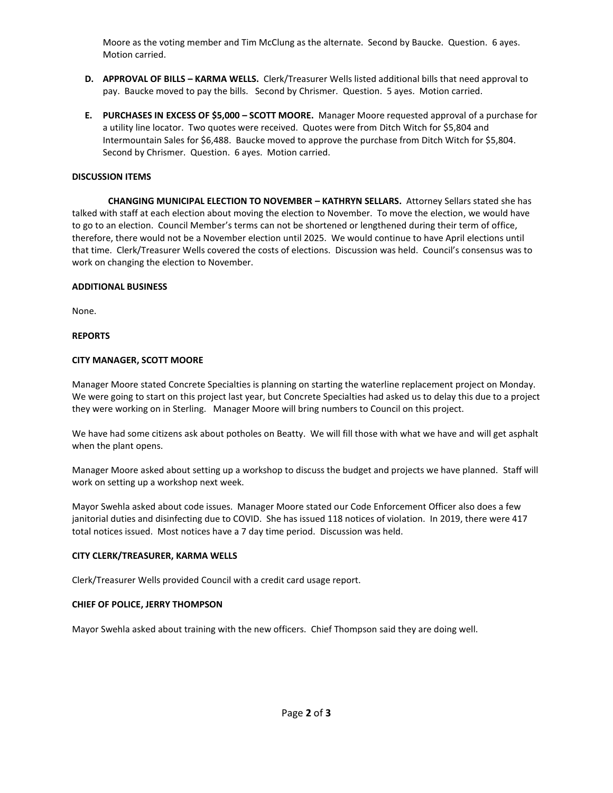Moore as the voting member and Tim McClung as the alternate. Second by Baucke. Question. 6 ayes. Motion carried.

- **D. APPROVAL OF BILLS – KARMA WELLS.** Clerk/Treasurer Wells listed additional bills that need approval to pay. Baucke moved to pay the bills. Second by Chrismer. Question. 5 ayes. Motion carried.
- **E. PURCHASES IN EXCESS OF \$5,000 – SCOTT MOORE.** Manager Moore requested approval of a purchase for a utility line locator. Two quotes were received. Quotes were from Ditch Witch for \$5,804 and Intermountain Sales for \$6,488. Baucke moved to approve the purchase from Ditch Witch for \$5,804. Second by Chrismer. Question. 6 ayes. Motion carried.

## **DISCUSSION ITEMS**

**CHANGING MUNICIPAL ELECTION TO NOVEMBER – KATHRYN SELLARS.** Attorney Sellars stated she has talked with staff at each election about moving the election to November. To move the election, we would have to go to an election. Council Member's terms can not be shortened or lengthened during their term of office, therefore, there would not be a November election until 2025. We would continue to have April elections until that time. Clerk/Treasurer Wells covered the costs of elections. Discussion was held. Council's consensus was to work on changing the election to November.

#### **ADDITIONAL BUSINESS**

None.

#### **REPORTS**

#### **CITY MANAGER, SCOTT MOORE**

Manager Moore stated Concrete Specialties is planning on starting the waterline replacement project on Monday. We were going to start on this project last year, but Concrete Specialties had asked us to delay this due to a project they were working on in Sterling. Manager Moore will bring numbers to Council on this project.

We have had some citizens ask about potholes on Beatty. We will fill those with what we have and will get asphalt when the plant opens.

Manager Moore asked about setting up a workshop to discuss the budget and projects we have planned. Staff will work on setting up a workshop next week.

Mayor Swehla asked about code issues. Manager Moore stated our Code Enforcement Officer also does a few janitorial duties and disinfecting due to COVID. She has issued 118 notices of violation. In 2019, there were 417 total notices issued. Most notices have a 7 day time period. Discussion was held.

#### **CITY CLERK/TREASURER, KARMA WELLS**

Clerk/Treasurer Wells provided Council with a credit card usage report.

#### **CHIEF OF POLICE, JERRY THOMPSON**

Mayor Swehla asked about training with the new officers. Chief Thompson said they are doing well.